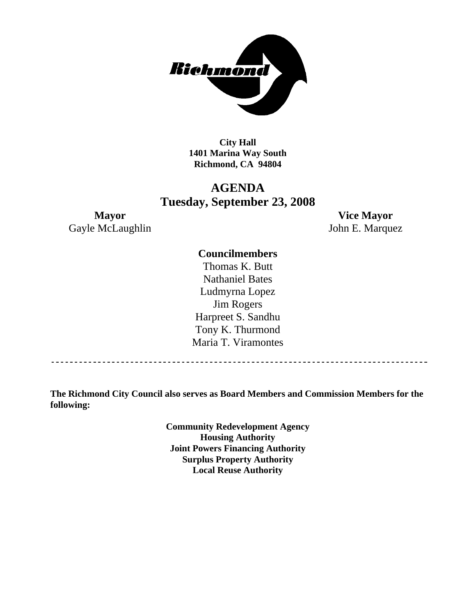

**City Hall 1401 Marina Way South Richmond, CA 94804** 

# **AGENDA Tuesday, September 23, 2008**

Gayle McLaughlin John E. Marquez

**Mayor Vice Mayor** 

# **Councilmembers**

Thomas K. Butt Nathaniel Bates Ludmyrna Lopez Jim Rogers Harpreet S. Sandhu Tony K. Thurmond Maria T. Viramontes

**The Richmond City Council also serves as Board Members and Commission Members for the following:** 

> **Community Redevelopment Agency Housing Authority Joint Powers Financing Authority Surplus Property Authority Local Reuse Authority**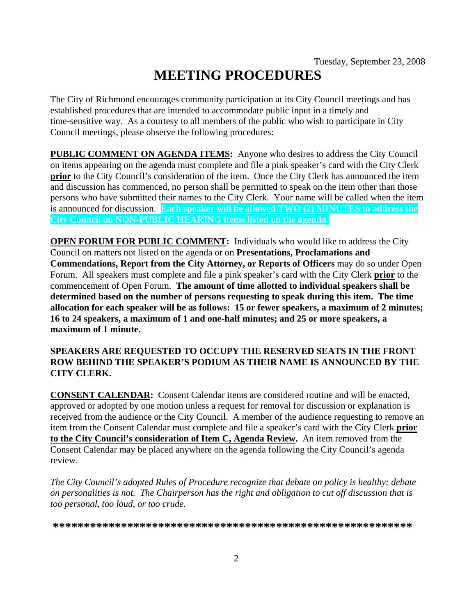# **MEETING PROCEDURES**

The City of Richmond encourages community participation at its City Council meetings and has established procedures that are intended to accommodate public input in a timely and time-sensitive way. As a courtesy to all members of the public who wish to participate in City Council meetings, please observe the following procedures:

**PUBLIC COMMENT ON AGENDA ITEMS:** Anyone who desires to address the City Council on items appearing on the agenda must complete and file a pink speaker's card with the City Clerk **prior** to the City Council's consideration of the item. Once the City Clerk has announced the item and discussion has commenced, no person shall be permitted to speak on the item other than those persons who have submitted their names to the City Clerk. Your name will be called when the item is announced for discussion. **Each speaker will be allowed TWO (2) MINUTES to address the City Council on NON-PUBLIC HEARING items listed on the agenda.** 

**OPEN FORUM FOR PUBLIC COMMENT:** Individuals who would like to address the City Council on matters not listed on the agenda or on **Presentations, Proclamations and Commendations, Report from the City Attorney, or Reports of Officers** may do so under Open Forum. All speakers must complete and file a pink speaker's card with the City Clerk **prior** to the commencement of Open Forum. **The amount of time allotted to individual speakers shall be determined based on the number of persons requesting to speak during this item. The time allocation for each speaker will be as follows: 15 or fewer speakers, a maximum of 2 minutes; 16 to 24 speakers, a maximum of 1 and one-half minutes; and 25 or more speakers, a maximum of 1 minute.** 

## **SPEAKERS ARE REQUESTED TO OCCUPY THE RESERVED SEATS IN THE FRONT ROW BEHIND THE SPEAKER'S PODIUM AS THEIR NAME IS ANNOUNCED BY THE CITY CLERK.**

**CONSENT CALENDAR:** Consent Calendar items are considered routine and will be enacted, approved or adopted by one motion unless a request for removal for discussion or explanation is received from the audience or the City Council. A member of the audience requesting to remove an item from the Consent Calendar must complete and file a speaker's card with the City Clerk **prior to the City Council's consideration of Item C, Agenda Review.** An item removed from the Consent Calendar may be placed anywhere on the agenda following the City Council's agenda review.

*The City Council's adopted Rules of Procedure recognize that debate on policy is healthy; debate on personalities is not. The Chairperson has the right and obligation to cut off discussion that is too personal, too loud, or too crude.* 

**\*\*\*\*\*\*\*\*\*\*\*\*\*\*\*\*\*\*\*\*\*\*\*\*\*\*\*\*\*\*\*\*\*\*\*\*\*\*\*\*\*\*\*\*\*\*\*\*\*\*\*\*\*\*\*\*\*\***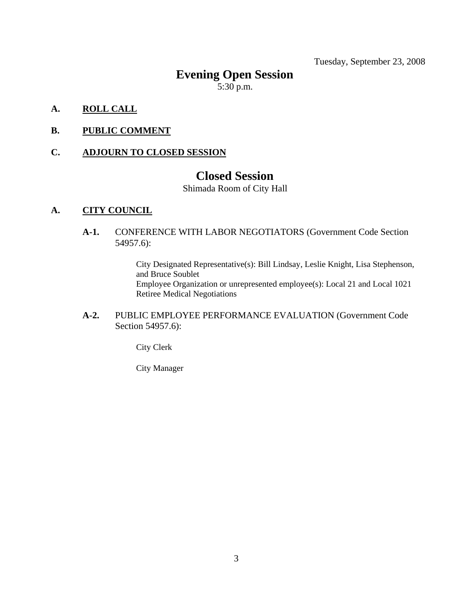Tuesday, September 23, 2008

# **Evening Open Session**

 $5:30$  p.m.

- **A. ROLL CALL**
- **B. PUBLIC COMMENT**

### **C. ADJOURN TO CLOSED SESSION**

# **Closed Session**

Shimada Room of City Hall

#### **A. CITY COUNCIL**

**A-1.** CONFERENCE WITH LABOR NEGOTIATORS (Government Code Section 54957.6):

> City Designated Representative(s): Bill Lindsay, Leslie Knight, Lisa Stephenson, and Bruce Soublet Employee Organization or unrepresented employee(s): Local 21 and Local 1021 Retiree Medical Negotiations

**A-2.** PUBLIC EMPLOYEE PERFORMANCE EVALUATION (Government Code Section 54957.6):

City Clerk

City Manager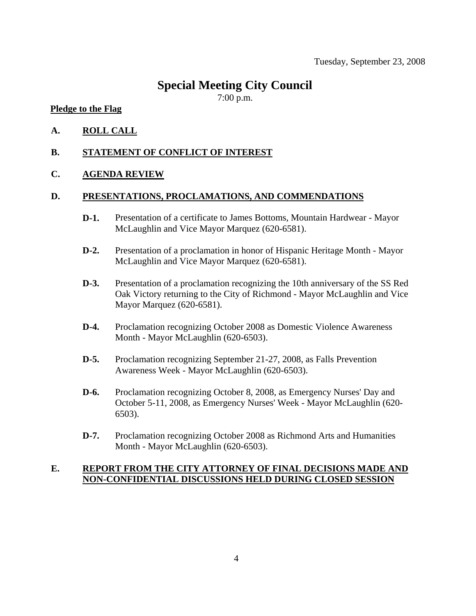# **Special Meeting City Council**

7:00 p.m.

#### **Pledge to the Flag**

- **A. ROLL CALL**
- **B. STATEMENT OF CONFLICT OF INTEREST**

#### **C. AGENDA REVIEW**

#### **D. PRESENTATIONS, PROCLAMATIONS, AND COMMENDATIONS**

- **D-1.** Presentation of a certificate to James Bottoms, Mountain Hardwear Mayor McLaughlin and Vice Mayor Marquez (620-6581).
- **D-2.** Presentation of a proclamation in honor of Hispanic Heritage Month Mayor McLaughlin and Vice Mayor Marquez (620-6581).
- **D-3.** Presentation of a proclamation recognizing the 10th anniversary of the SS Red Oak Victory returning to the City of Richmond - Mayor McLaughlin and Vice Mayor Marquez (620-6581).
- **D-4.** Proclamation recognizing October 2008 as Domestic Violence Awareness Month - Mayor McLaughlin (620-6503).
- **D-5.** Proclamation recognizing September 21-27, 2008, as Falls Prevention Awareness Week - Mayor McLaughlin (620-6503).
- **D-6.** Proclamation recognizing October 8, 2008, as Emergency Nurses' Day and October 5-11, 2008, as Emergency Nurses' Week - Mayor McLaughlin (620- 6503).
- **D-7.** Proclamation recognizing October 2008 as Richmond Arts and Humanities Month - Mayor McLaughlin (620-6503).

### **E. REPORT FROM THE CITY ATTORNEY OF FINAL DECISIONS MADE AND NON-CONFIDENTIAL DISCUSSIONS HELD DURING CLOSED SESSION**